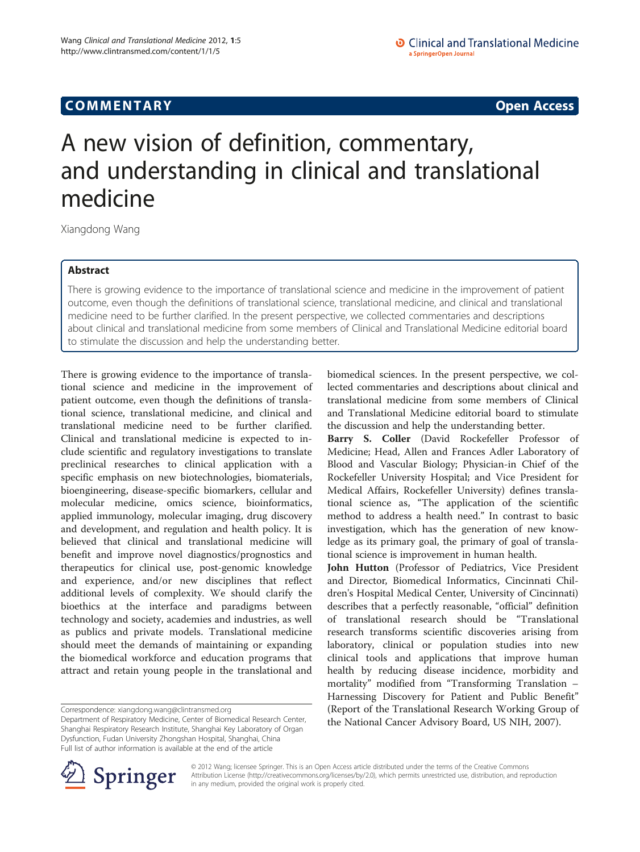## COMM EN TARY Open Access

## A new vision of definition, commentary, and understanding in clinical and translational medicine

Xiangdong Wang

## Abstract

There is growing evidence to the importance of translational science and medicine in the improvement of patient outcome, even though the definitions of translational science, translational medicine, and clinical and translational medicine need to be further clarified. In the present perspective, we collected commentaries and descriptions about clinical and translational medicine from some members of Clinical and Translational Medicine editorial board to stimulate the discussion and help the understanding better.

There is growing evidence to the importance of translational science and medicine in the improvement of patient outcome, even though the definitions of translational science, translational medicine, and clinical and translational medicine need to be further clarified. Clinical and translational medicine is expected to include scientific and regulatory investigations to translate preclinical researches to clinical application with a specific emphasis on new biotechnologies, biomaterials, bioengineering, disease-specific biomarkers, cellular and molecular medicine, omics science, bioinformatics, applied immunology, molecular imaging, drug discovery and development, and regulation and health policy. It is believed that clinical and translational medicine will benefit and improve novel diagnostics/prognostics and therapeutics for clinical use, post-genomic knowledge and experience, and/or new disciplines that reflect additional levels of complexity. We should clarify the bioethics at the interface and paradigms between technology and society, academies and industries, as well as publics and private models. Translational medicine should meet the demands of maintaining or expanding the biomedical workforce and education programs that attract and retain young people in the translational and

Correspondence: [xiangdong.wang@clintransmed.org](mailto:xiangdong.wang@clintransmed.org)



Barry S. Coller (David Rockefeller Professor of Medicine; Head, Allen and Frances Adler Laboratory of Blood and Vascular Biology; Physician-in Chief of the Rockefeller University Hospital; and Vice President for Medical Affairs, Rockefeller University) defines translational science as, "The application of the scientific method to address a health need." In contrast to basic investigation, which has the generation of new knowledge as its primary goal, the primary of goal of translational science is improvement in human health.

John Hutton (Professor of Pediatrics, Vice President and Director, Biomedical Informatics, Cincinnati Children's Hospital Medical Center, University of Cincinnati) describes that a perfectly reasonable, "official" definition of translational research should be "Translational research transforms scientific discoveries arising from laboratory, clinical or population studies into new clinical tools and applications that improve human health by reducing disease incidence, morbidity and mortality" modified from "Transforming Translation – Harnessing Discovery for Patient and Public Benefit" (Report of the Translational Research Working Group of the National Cancer Advisory Board, US NIH, 2007).



© 2012 Wang; licensee Springer. This is an Open Access article distributed under the terms of the Creative Commons Attribution License (http://creativecommons.org/licenses/by/2.0), which permits unrestricted use, distribution, and reproduction in any medium, provided the original work is properly cited.

Department of Respiratory Medicine, Center of Biomedical Research Center, Shanghai Respiratory Research Institute, Shanghai Key Laboratory of Organ Dysfunction, Fudan University Zhongshan Hospital, Shanghai, China Full list of author information is available at the end of the article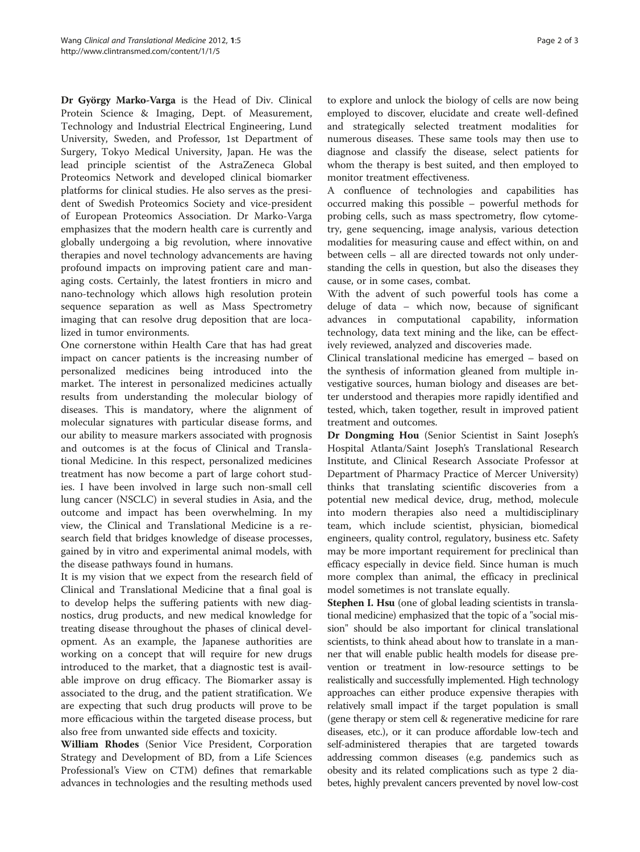Dr György Marko-Varga is the Head of Div. Clinical Protein Science & Imaging, Dept. of Measurement, Technology and Industrial Electrical Engineering, Lund University, Sweden, and Professor, 1st Department of Surgery, Tokyo Medical University, Japan. He was the lead principle scientist of the AstraZeneca Global Proteomics Network and developed clinical biomarker platforms for clinical studies. He also serves as the president of Swedish Proteomics Society and vice-president of European Proteomics Association. Dr Marko-Varga emphasizes that the modern health care is currently and globally undergoing a big revolution, where innovative therapies and novel technology advancements are having profound impacts on improving patient care and managing costs. Certainly, the latest frontiers in micro and nano-technology which allows high resolution protein sequence separation as well as Mass Spectrometry imaging that can resolve drug deposition that are localized in tumor environments.

One cornerstone within Health Care that has had great impact on cancer patients is the increasing number of personalized medicines being introduced into the market. The interest in personalized medicines actually results from understanding the molecular biology of diseases. This is mandatory, where the alignment of molecular signatures with particular disease forms, and our ability to measure markers associated with prognosis and outcomes is at the focus of Clinical and Translational Medicine. In this respect, personalized medicines treatment has now become a part of large cohort studies. I have been involved in large such non-small cell lung cancer (NSCLC) in several studies in Asia, and the outcome and impact has been overwhelming. In my view, the Clinical and Translational Medicine is a research field that bridges knowledge of disease processes, gained by in vitro and experimental animal models, with the disease pathways found in humans.

It is my vision that we expect from the research field of Clinical and Translational Medicine that a final goal is to develop helps the suffering patients with new diagnostics, drug products, and new medical knowledge for treating disease throughout the phases of clinical development. As an example, the Japanese authorities are working on a concept that will require for new drugs introduced to the market, that a diagnostic test is available improve on drug efficacy. The Biomarker assay is associated to the drug, and the patient stratification. We are expecting that such drug products will prove to be more efficacious within the targeted disease process, but also free from unwanted side effects and toxicity.

William Rhodes (Senior Vice President, Corporation Strategy and Development of BD, from a Life Sciences Professional's View on CTM) defines that remarkable advances in technologies and the resulting methods used

to explore and unlock the biology of cells are now being employed to discover, elucidate and create well-defined and strategically selected treatment modalities for numerous diseases. These same tools may then use to diagnose and classify the disease, select patients for whom the therapy is best suited, and then employed to monitor treatment effectiveness.

A confluence of technologies and capabilities has occurred making this possible – powerful methods for probing cells, such as mass spectrometry, flow cytometry, gene sequencing, image analysis, various detection modalities for measuring cause and effect within, on and between cells – all are directed towards not only understanding the cells in question, but also the diseases they cause, or in some cases, combat.

With the advent of such powerful tools has come a deluge of data – which now, because of significant advances in computational capability, information technology, data text mining and the like, can be effectively reviewed, analyzed and discoveries made.

Clinical translational medicine has emerged – based on the synthesis of information gleaned from multiple investigative sources, human biology and diseases are better understood and therapies more rapidly identified and tested, which, taken together, result in improved patient treatment and outcomes.

Dr Dongming Hou (Senior Scientist in Saint Joseph's Hospital Atlanta/Saint Joseph's Translational Research Institute, and Clinical Research Associate Professor at Department of Pharmacy Practice of Mercer University) thinks that translating scientific discoveries from a potential new medical device, drug, method, molecule into modern therapies also need a multidisciplinary team, which include scientist, physician, biomedical engineers, quality control, regulatory, business etc. Safety may be more important requirement for preclinical than efficacy especially in device field. Since human is much more complex than animal, the efficacy in preclinical model sometimes is not translate equally.

Stephen I. Hsu (one of global leading scientists in translational medicine) emphasized that the topic of a "social mission" should be also important for clinical translational scientists, to think ahead about how to translate in a manner that will enable public health models for disease prevention or treatment in low-resource settings to be realistically and successfully implemented. High technology approaches can either produce expensive therapies with relatively small impact if the target population is small (gene therapy or stem cell & regenerative medicine for rare diseases, etc.), or it can produce affordable low-tech and self-administered therapies that are targeted towards addressing common diseases (e.g. pandemics such as obesity and its related complications such as type 2 diabetes, highly prevalent cancers prevented by novel low-cost